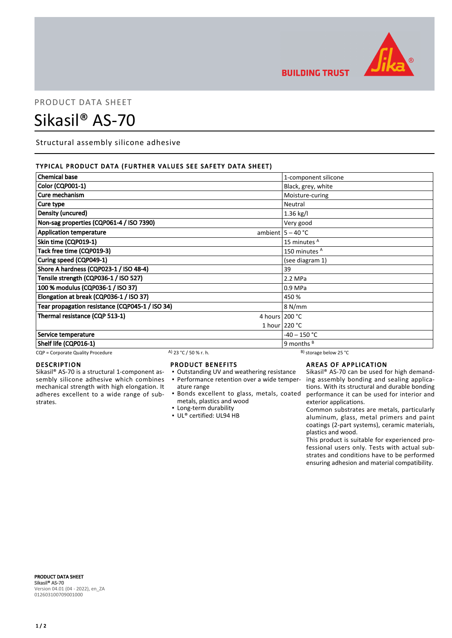

**BUILDING TRUST** 

## PRODUCT DATA SHEET

# Sikasil® AS-70

Structural assembly silicone adhesive

### TYPICAL PRODUCT DATA (FURTHER VALUES SEE SAFETY DATA SHEET)

| <b>Chemical base</b>                            |                       | 1-component silicone         |
|-------------------------------------------------|-----------------------|------------------------------|
| Color (CQP001-1)                                |                       | Black, grey, white           |
| Cure mechanism                                  |                       | Moisture-curing              |
| Cure type                                       |                       | Neutral                      |
| Density (uncured)                               |                       | 1.36 kg/l                    |
| Non-sag properties (CQP061-4 / ISO 7390)        |                       | Very good                    |
| <b>Application temperature</b>                  |                       | ambient $5 - 40$ °C          |
| Skin time (CQP019-1)                            |                       | 15 minutes <sup>A</sup>      |
| Tack free time (CQP019-3)                       |                       | 150 minutes <sup>A</sup>     |
| Curing speed (CQP049-1)                         |                       | (see diagram 1)              |
| Shore A hardness (CQP023-1 / ISO 48-4)          |                       | 39                           |
| Tensile strength (CQP036-1 / ISO 527)           |                       | 2.2 MPa                      |
| 100 % modulus (CQP036-1 / ISO 37)               |                       | 0.9 MPa                      |
| Elongation at break (CQP036-1 / ISO 37)         |                       | 450 %                        |
| Tear propagation resistance (CQP045-1 / ISO 34) |                       | 8 N/mm                       |
| Thermal resistance (CQP 513-1)                  |                       | 4 hours $200 °C$             |
|                                                 |                       | 1 hour $220 °C$              |
| Service temperature                             |                       | $-40 - 150 °C$               |
| Shelf life (CQP016-1)                           |                       | 9 months $B$                 |
| CQP = Corporate Quality Procedure               | A) 23 °C / 50 % r. h. | $^{B}$ ) storage below 25 °C |

### DESCRIPTION

Sikasil® AS-70 is a structural 1-component assembly silicone adhesive which combines mechanical strength with high elongation. It adheres excellent to a wide range of substrates.

#### PRODUCT BENEFITS

- Outstanding UV and weathering resistance
- ature range
- metals, plastics and wood
- **Example 1** Long-term durability
- UL® certified: UL94 HB

#### AREAS OF APPLICATION

• Performance retention over a wide temper- ing assembly bonding and sealing applica-Bonds excellent to glass, metals, coated ▪ performance it can be used for interior and Sikasil® AS-70 can be used for high demandtions. With its structural and durable bonding exterior applications.

> Common substrates are metals, particularly aluminum, glass, metal primers and paint coatings (2-part systems), ceramic materials, plastics and wood.

> This product is suitable for experienced professional users only. Tests with actual substrates and conditions have to be performed ensuring adhesion and material compatibility.